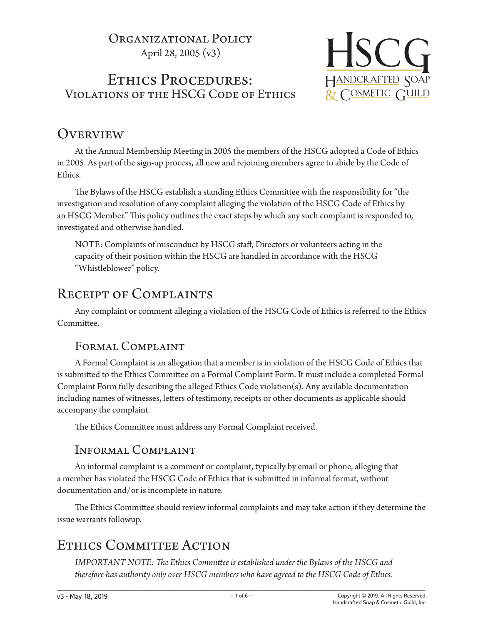## ORGANIZATIONAL POLICY April 28, 2005 (v3)

# Ethics Procedures: Violations of the HSCG Code of Ethics



# **OVERVIEW**

At the Annual Membership Meeting in 2005 the members of the HSCG adopted a Code of Ethics in 2005. As part of the sign-up process, all new and rejoining members agree to abide by the Code of Ethics.

The Bylaws of the HSCG establish a standing Ethics Committee with the responsibility for "the investigation and resolution of any complaint alleging the violation of the HSCG Code of Ethics by an HSCG Member." This policy outlines the exact steps by which any such complaint is responded to, investigated and otherwise handled.

NOTE: Complaints of misconduct by HSCG staff, Directors or volunteers acting in the capacity of their position within the HSCG are handled in accordance with the HSCG "Whistleblower" policy.

# Receipt of Complaints

Any complaint or comment alleging a violation of the HSCG Code of Ethics is referred to the Ethics Committee.

## Formal Complaint

A Formal Complaint is an allegation that a member is in violation of the HSCG Code of Ethics that is submitted to the Ethics Committee on a Formal Complaint Form. It must include a completed Formal Complaint Form fully describing the alleged Ethics Code violation(s). Any available documentation including names of witnesses, letters of testimony, receipts or other documents as applicable should accompany the complaint.

The Ethics Committee must address any Formal Complaint received.

## Informal Complaint

An informal complaint is a comment or complaint, typically by email or phone, alleging that a member has violated the HSCG Code of Ethics that is submitted in informal format, without documentation and/or is incomplete in nature.

The Ethics Committee should review informal complaints and may take action if they determine the issue warrants followup.

# ETHICS COMMITTEE ACTION

*IMPORTANT NOTE: The Ethics Committee is established under the Bylaws of the HSCG and therefore has authority only over HSCG members who have agreed to the HSCG Code of Ethics.*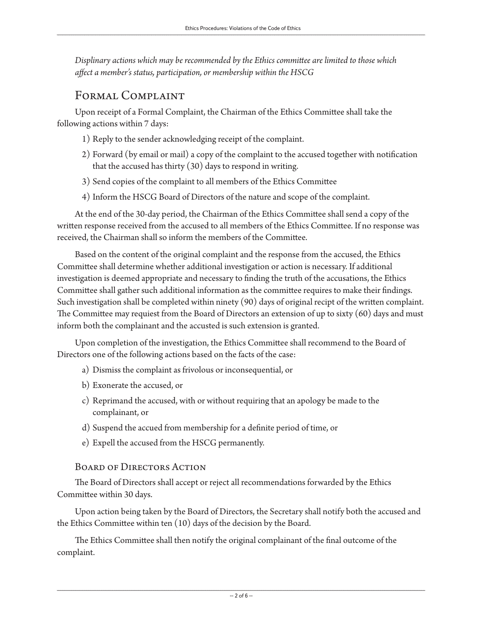*Displinary actions which may be recommended by the Ethics committee are limited to those which affect a member's status, participation, or membership within the HSCG*

## Formal Complaint

Upon receipt of a Formal Complaint, the Chairman of the Ethics Committee shall take the following actions within 7 days:

- 1) Reply to the sender acknowledging receipt of the complaint.
- 2) Forward (by email or mail) a copy of the complaint to the accused together with notification that the accused has thirty (30) days to respond in writing.
- 3) Send copies of the complaint to all members of the Ethics Committee
- 4) Inform the HSCG Board of Directors of the nature and scope of the complaint.

At the end of the 30-day period, the Chairman of the Ethics Committee shall send a copy of the written response received from the accused to all members of the Ethics Committee. If no response was received, the Chairman shall so inform the members of the Committee.

Based on the content of the original complaint and the response from the accused, the Ethics Committee shall determine whether additional investigation or action is necessary. If additional investigation is deemed appropriate and necessary to finding the truth of the accusations, the Ethics Committee shall gather such additional information as the committee requires to make their findings. Such investigation shall be completed within ninety (90) days of original recipt of the written complaint. The Committee may requiest from the Board of Directors an extension of up to sixty (60) days and must inform both the complainant and the accusted is such extension is granted.

Upon completion of the investigation, the Ethics Committee shall recommend to the Board of Directors one of the following actions based on the facts of the case:

- a) Dismiss the complaint as frivolous or inconsequential, or
- b) Exonerate the accused, or
- c) Reprimand the accused, with or without requiring that an apology be made to the complainant, or
- d) Suspend the accued from membership for a definite period of time, or
- e) Expell the accused from the HSCG permanently.

#### BOARD OF DIRECTORS ACTION

The Board of Directors shall accept or reject all recommendations forwarded by the Ethics Committee within 30 days.

Upon action being taken by the Board of Directors, the Secretary shall notify both the accused and the Ethics Committee within ten (10) days of the decision by the Board.

The Ethics Committee shall then notify the original complainant of the final outcome of the complaint.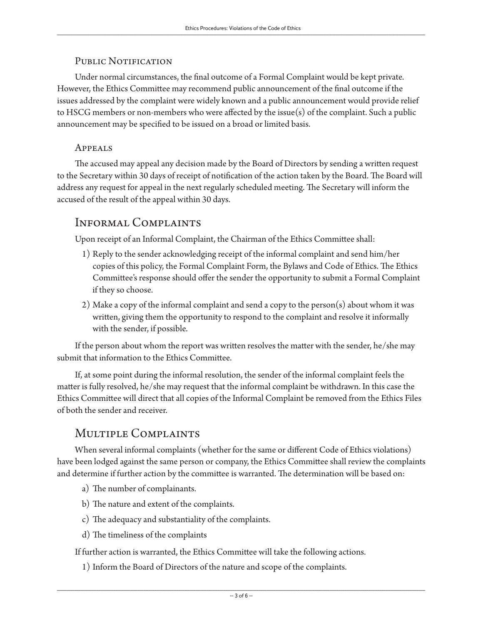#### PUBLIC NOTIFICATION

Under normal circumstances, the final outcome of a Formal Complaint would be kept private. However, the Ethics Committee may recommend public announcement of the final outcome if the issues addressed by the complaint were widely known and a public announcement would provide relief to HSCG members or non-members who were affected by the issue(s) of the complaint. Such a public announcement may be specified to be issued on a broad or limited basis.

#### Appeals

The accused may appeal any decision made by the Board of Directors by sending a written request to the Secretary within 30 days of receipt of notification of the action taken by the Board. The Board will address any request for appeal in the next regularly scheduled meeting. The Secretary will inform the accused of the result of the appeal within 30 days.

### Informal Complaints

Upon receipt of an Informal Complaint, the Chairman of the Ethics Committee shall:

- 1) Reply to the sender acknowledging receipt of the informal complaint and send him/her copies of this policy, the Formal Complaint Form, the Bylaws and Code of Ethics. The Ethics Committee's response should offer the sender the opportunity to submit a Formal Complaint if they so choose.
- 2) Make a copy of the informal complaint and send a copy to the person(s) about whom it was written, giving them the opportunity to respond to the complaint and resolve it informally with the sender, if possible.

If the person about whom the report was written resolves the matter with the sender, he/she may submit that information to the Ethics Committee.

If, at some point during the informal resolution, the sender of the informal complaint feels the matter is fully resolved, he/she may request that the informal complaint be withdrawn. In this case the Ethics Committee will direct that all copies of the Informal Complaint be removed from the Ethics Files of both the sender and receiver.

### Multiple Complaints

When several informal complaints (whether for the same or different Code of Ethics violations) have been lodged against the same person or company, the Ethics Committee shall review the complaints and determine if further action by the committee is warranted. The determination will be based on:

- a) The number of complainants.
- b) The nature and extent of the complaints.
- c) The adequacy and substantiality of the complaints.
- d) The timeliness of the complaints

If further action is warranted, the Ethics Committee will take the following actions.

1) Inform the Board of Directors of the nature and scope of the complaints.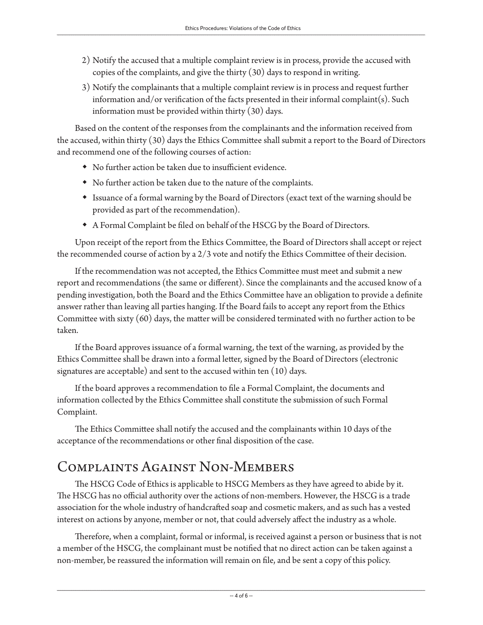- 2) Notify the accused that a multiple complaint review is in process, provide the accused with copies of the complaints, and give the thirty (30) days to respond in writing.
- 3) Notify the complainants that a multiple complaint review is in process and request further information and/or verification of the facts presented in their informal complaint(s). Such information must be provided within thirty (30) days.

Based on the content of the responses from the complainants and the information received from the accused, within thirty (30) days the Ethics Committee shall submit a report to the Board of Directors and recommend one of the following courses of action:

- No further action be taken due to insufficient evidence.
- No further action be taken due to the nature of the complaints.
- Issuance of a formal warning by the Board of Directors (exact text of the warning should be provided as part of the recommendation).
- A Formal Complaint be filed on behalf of the HSCG by the Board of Directors.

Upon receipt of the report from the Ethics Committee, the Board of Directors shall accept or reject the recommended course of action by a 2/3 vote and notify the Ethics Committee of their decision.

If the recommendation was not accepted, the Ethics Committee must meet and submit a new report and recommendations (the same or different). Since the complainants and the accused know of a pending investigation, both the Board and the Ethics Committee have an obligation to provide a definite answer rather than leaving all parties hanging. If the Board fails to accept any report from the Ethics Committee with sixty (60) days, the matter will be considered terminated with no further action to be taken.

If the Board approves issuance of a formal warning, the text of the warning, as provided by the Ethics Committee shall be drawn into a formal letter, signed by the Board of Directors (electronic signatures are acceptable) and sent to the accused within ten (10) days.

If the board approves a recommendation to file a Formal Complaint, the documents and information collected by the Ethics Committee shall constitute the submission of such Formal Complaint.

The Ethics Committee shall notify the accused and the complainants within 10 days of the acceptance of the recommendations or other final disposition of the case.

# COMPLAINTS AGAINST NON-MEMBERS

The HSCG Code of Ethics is applicable to HSCG Members as they have agreed to abide by it. The HSCG has no official authority over the actions of non-members. However, the HSCG is a trade association for the whole industry of handcrafted soap and cosmetic makers, and as such has a vested interest on actions by anyone, member or not, that could adversely affect the industry as a whole.

Therefore, when a complaint, formal or informal, is received against a person or business that is not a member of the HSCG, the complainant must be notified that no direct action can be taken against a non-member, be reassured the information will remain on file, and be sent a copy of this policy.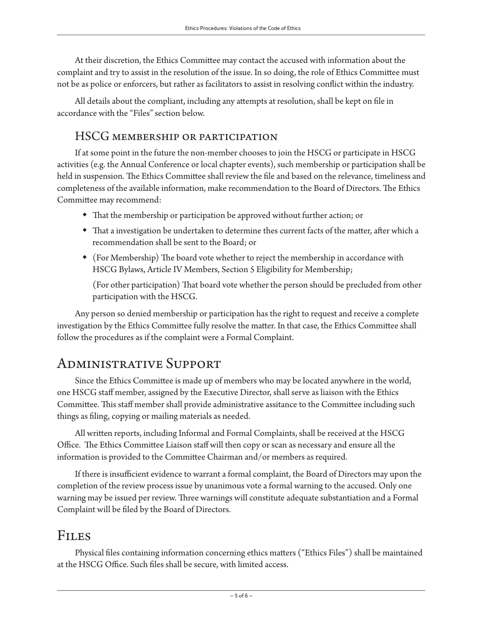At their discretion, the Ethics Committee may contact the accused with information about the complaint and try to assist in the resolution of the issue. In so doing, the role of Ethics Committee must not be as police or enforcers, but rather as facilitators to assist in resolving conflict within the industry.

All details about the compliant, including any attempts at resolution, shall be kept on file in accordance with the "Files" section below.

### HSCG membership or participation

If at some point in the future the non-member chooses to join the HSCG or participate in HSCG activities (e.g. the Annual Conference or local chapter events), such membership or participation shall be held in suspension. The Ethics Committee shall review the file and based on the relevance, timeliness and completeness of the available information, make recommendation to the Board of Directors. The Ethics Committee may recommend:

- That the membership or participation be approved without further action; or
- That a investigation be undertaken to determine thes current facts of the matter, after which a recommendation shall be sent to the Board; or
- (For Membership) The board vote whether to reject the membership in accordance with HSCG Bylaws, Article IV Members, Section 5 Eligibility for Membership;

(For other participation) That board vote whether the person should be precluded from other participation with the HSCG.

Any person so denied membership or participation has the right to request and receive a complete investigation by the Ethics Committee fully resolve the matter. In that case, the Ethics Committee shall follow the procedures as if the complaint were a Formal Complaint.

# Administrative Support

Since the Ethics Committee is made up of members who may be located anywhere in the world, one HSCG staff member, assigned by the Executive Director, shall serve as liaison with the Ethics Committee. This staff member shall provide administrative assitance to the Committee including such things as filing, copying or mailing materials as needed.

All written reports, including Informal and Formal Complaints, shall be received at the HSCG Office. The Ethics Committee Liaison staff will then copy or scan as necessary and ensure all the information is provided to the Committee Chairman and/or members as required.

If there is insufficient evidence to warrant a formal complaint, the Board of Directors may upon the completion of the review process issue by unanimous vote a formal warning to the accused. Only one warning may be issued per review. Three warnings will constitute adequate substantiation and a Formal Complaint will be filed by the Board of Directors.

## Files

Physical files containing information concerning ethics matters ("Ethics Files") shall be maintained at the HSCG Office. Such files shall be secure, with limited access.